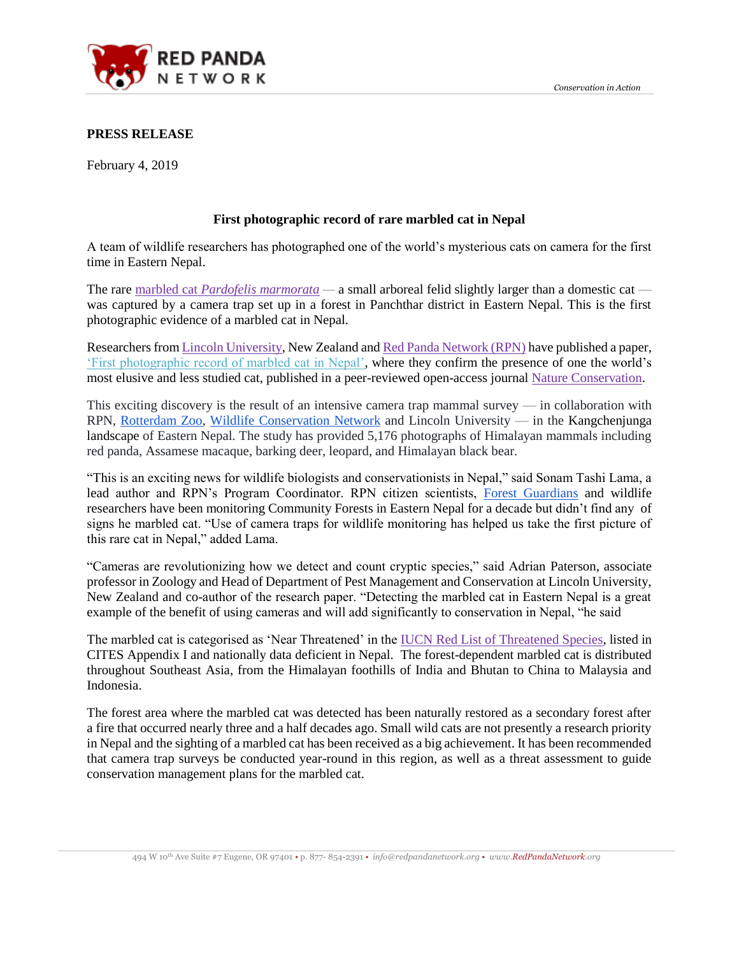

#### **PRESS RELEASE**

February 4, 2019

# **First photographic record of rare marbled cat in Nepal**

A team of wildlife researchers has photographed one of the world's mysterious cats on camera for the first time in Eastern Nepal.

The rare marbled cat *[Pardofelis marmorata](https://www.iucnredlist.org/species/16218/97164299) —* a small arboreal felid slightly larger than a domestic cat was captured by a camera trap set up in a forest in Panchthar district in Eastern Nepal. This is the first photographic evidence of a marbled cat in Nepal.

Researchers from [Lincoln University,](http://www.lincoln.ac.nz/) New Zealand and [Red Panda Network \(RPN\)](https://www.redpandanetwork.org/) have published a paper, ['First photographic record of marbled cat in Nepal',](https://natureconservation.pensoft.net/article/29740/) where they confirm the presence of one the world's most elusive and less studied cat, published in a peer-reviewed open-access journal [Nature Conservation.](https://natureconservation.pensoft.net/article/29740/)

This exciting discovery is the result of an intensive camera trap mammal survey — in collaboration with RPN, [Rotterdam Zoo,](https://www.diergaardeblijdorp.nl/en/) [Wildlife Conservation Network](https://wildnet.org/) and Lincoln University — in the Kangchenjunga landscape of Eastern Nepal. The study has provided 5,176 photographs of Himalayan mammals including red panda, Assamese macaque, barking deer, leopard, and Himalayan black bear.

"This is an exciting news for wildlife biologists and conservationists in Nepal," said Sonam Tashi Lama, a lead author and RPN's Program Coordinator. RPN citizen scientists, [Forest Guardians](https://www.redpandanetwork.org/contribute/sponsor-a-forest-guardian/) and wildlife researchers have been monitoring Community Forests in Eastern Nepal for a decade but didn't find any of signs he marbled cat. "Use of camera traps for wildlife monitoring has helped us take the first picture of this rare cat in Nepal," added Lama.

"Cameras are revolutionizing how we detect and count cryptic species," said Adrian Paterson, associate professor in Zoology and Head of Department of Pest Management and Conservation at Lincoln University, New Zealand and co-author of the research paper. "Detecting the marbled cat in Eastern Nepal is a great example of the benefit of using cameras and will add significantly to conservation in Nepal, "he said

The marbled cat is categorised as 'Near Threatened' in the [IUCN Red List of Threatened Species,](https://www.iucnredlist.org/species/16218/97164299) listed in CITES Appendix I and nationally data deficient in Nepal. The forest-dependent marbled cat is distributed throughout Southeast Asia, from the Himalayan foothills of India and Bhutan to China to Malaysia and Indonesia.

The forest area where the marbled cat was detected has been naturally restored as a secondary forest after a fire that occurred nearly three and a half decades ago. Small wild cats are not presently a research priority in Nepal and the sighting of a marbled cat has been received as a big achievement. It has been recommended that camera trap surveys be conducted year-round in this region, as well as a threat assessment to guide conservation management plans for the marbled cat.